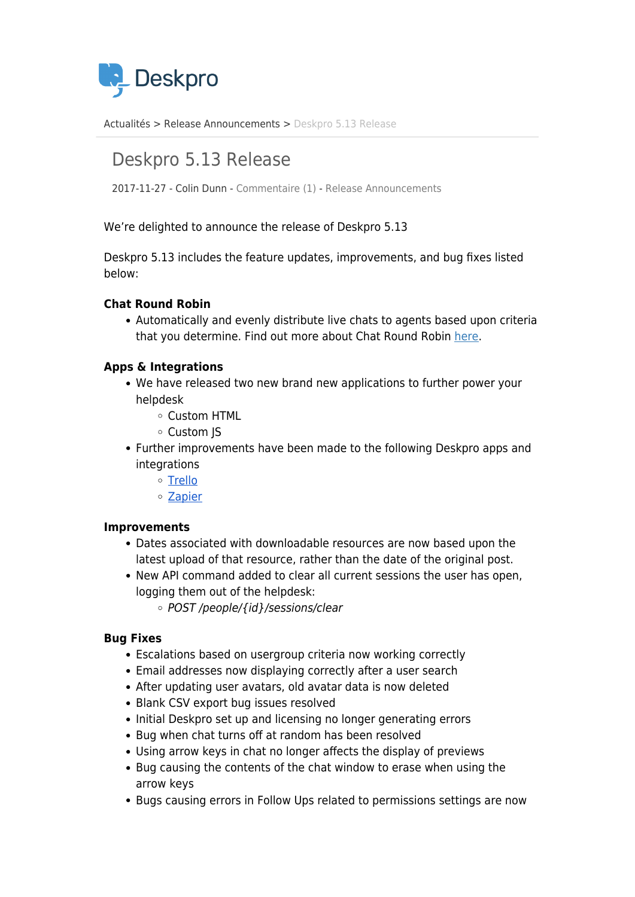

[Actualités](https://support.deskpro.com/fr/news) > [Release Announcements](https://support.deskpro.com/fr/news/release-announcements) > [Deskpro 5.13 Release](https://support.deskpro.com/fr/news/posts/deskpro-5-13-release)

# Deskpro 5.13 Release

2017-11-27 - Colin Dunn - [Commentaire \(1\)](#page--1-0) - [Release Announcements](https://support.deskpro.com/fr/news/release-announcements)

We're delighted to announce the release of Deskpro 5.13

Deskpro 5.13 includes the feature updates, improvements, and bug fixes listed below:

## **Chat Round Robin**

Automatically and evenly distribute live chats to agents based upon criteria that you determine. Find out more about Chat Round Robin [here.](https://support.deskpro.com/cy_GB/news/posts/chat-round-robin)

## **Apps & Integrations**

- We have released two new brand new applications to further power your helpdesk
	- Custom HTML
	- Custom JS
- Further improvements have been made to the following Deskpro apps and integrations
	- [Trello](https://support.deskpro.com/en/news/posts/trello-helpdesk-integration-with-deskpro)
	- [Zapier](https://support.deskpro.com/news/posts/637)

#### **Improvements**

- Dates associated with downloadable resources are now based upon the latest upload of that resource, rather than the date of the original post.
- New API command added to clear all current sessions the user has open, logging them out of the helpdesk:
	- POST /people/{id}/sessions/clear

#### **Bug Fixes**

- Escalations based on usergroup criteria now working correctly
- Email addresses now displaying correctly after a user search
- After updating user avatars, old avatar data is now deleted
- Blank CSV export bug issues resolved
- Initial Deskpro set up and licensing no longer generating errors
- Bug when chat turns off at random has been resolved
- Using arrow keys in chat no longer affects the display of previews
- Bug causing the contents of the chat window to erase when using the arrow keys
- Bugs causing errors in Follow Ups related to permissions settings are now